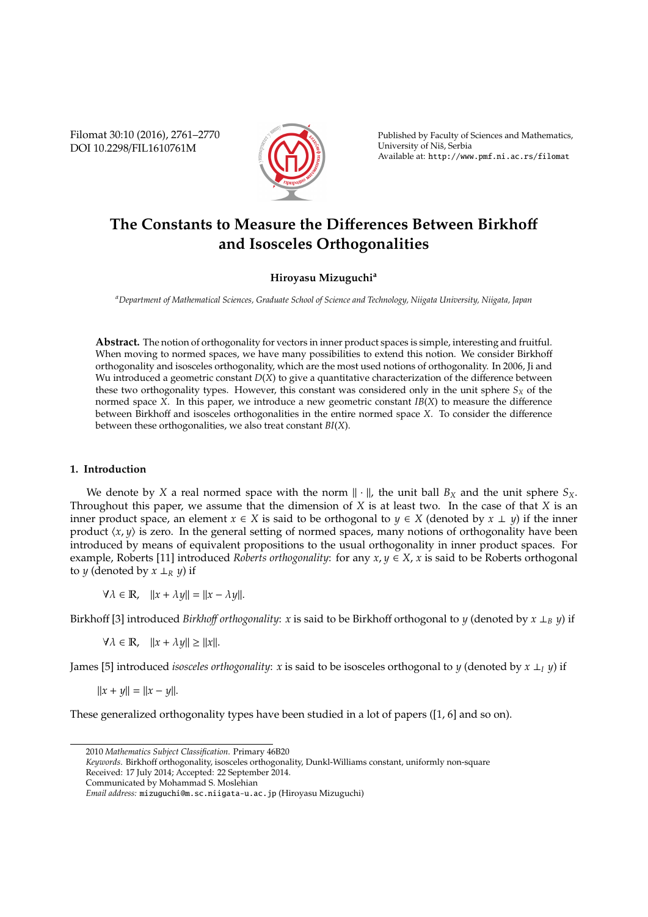Filomat 30:10 (2016), 2761–2770 DOI 10.2298/FIL1610761M



Published by Faculty of Sciences and Mathematics, University of Niš, Serbia Available at: http://www.pmf.ni.ac.rs/filomat

# **The Constants to Measure the Di**ff**erences Between Birkho**ff **and Isosceles Orthogonalities**

## **Hiroyasu Mizuguchi<sup>a</sup>**

*<sup>a</sup>Department of Mathematical Sciences, Graduate School of Science and Technology, Niigata University, Niigata, Japan*

**Abstract.** The notion of orthogonality for vectors in inner product spaces is simple, interesting and fruitful. When moving to normed spaces, we have many possibilities to extend this notion. We consider Birkhoff orthogonality and isosceles orthogonality, which are the most used notions of orthogonality. In 2006, Ji and Wu introduced a geometric constant *D*(*X*) to give a quantitative characterization of the difference between these two orthogonality types. However, this constant was considered only in the unit sphere  $S_X$  of the normed space *X*. In this paper, we introduce a new geometric constant *IB*(*X*) to measure the difference between Birkhoff and isosceles orthogonalities in the entire normed space *X*. To consider the difference between these orthogonalities, we also treat constant *BI*(*X*).

## **1. Introduction**

We denote by *X* a real normed space with the norm  $\|\cdot\|$ , the unit ball  $B_X$  and the unit sphere  $S_X$ . Throughout this paper, we assume that the dimension of *X* is at least two. In the case of that *X* is an inner product space, an element  $x \in X$  is said to be orthogonal to  $y \in X$  (denoted by  $x \perp y$ ) if the inner product  $\langle x, y \rangle$  is zero. In the general setting of normed spaces, many notions of orthogonality have been introduced by means of equivalent propositions to the usual orthogonality in inner product spaces. For example, Roberts [11] introduced *Roberts orthogonality*: for any  $x, y \in X$ ,  $x$  is said to be Roberts orthogonal to *y* (denoted by  $x \perp_R y$ ) if

 $\forall \lambda \in \mathbb{R}, \quad ||x + \lambda y|| = ||x - \lambda y||.$ 

Birkhoff [3] introduced *Birkho*ff *orthogonality*: *x* is said to be Birkhoff orthogonal to *y* (denoted by *x* ⊥*<sup>B</sup> y*) if

 $\forall \lambda \in \mathbb{R}, \quad ||x + \lambda y|| \ge ||x||.$ 

James [5] introduced *isosceles orthogonality*: *x* is said to be isosceles orthogonal to *y* (denoted by *x* ⊥*<sup>I</sup> y*) if

 $||x + y|| = ||x - y||.$ 

These generalized orthogonality types have been studied in a lot of papers ([1, 6] and so on).

<sup>2010</sup> *Mathematics Subject Classification*. Primary 46B20

*Keywords*. Birkhoff orthogonality, isosceles orthogonality, Dunkl-Williams constant, uniformly non-square

Received: 17 July 2014; Accepted: 22 September 2014.

Communicated by Mohammad S. Moslehian

*Email address:* mizuguchi@m.sc.niigata-u.ac.jp (Hiroyasu Mizuguchi)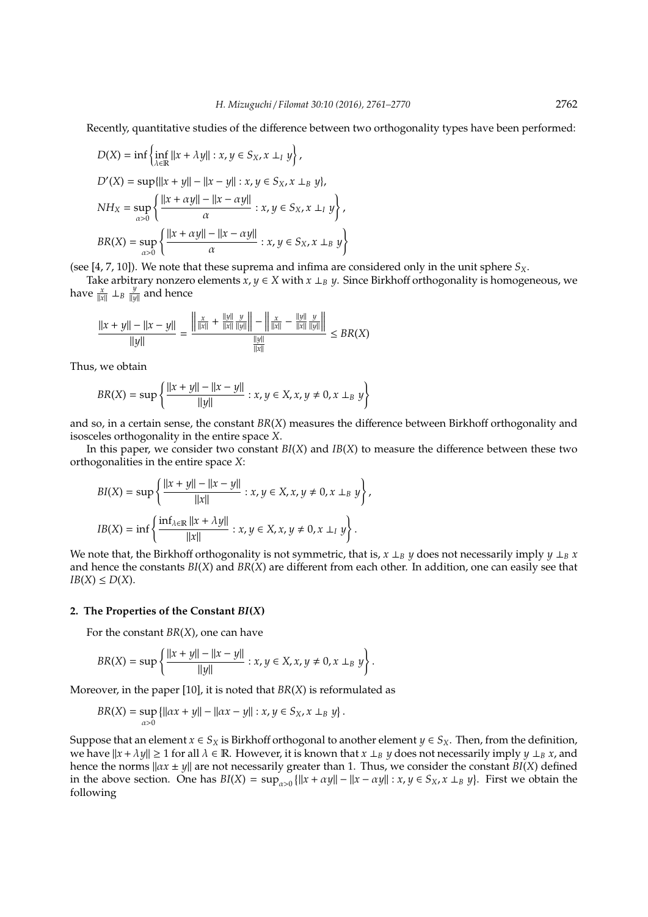Recently, quantitative studies of the difference between two orthogonality types have been performed:

$$
D(X) = \inf \left\{ \inf_{\lambda \in \mathbb{R}} ||x + \lambda y|| : x, y \in S_X, x \perp_I y \right\},
$$
  
\n
$$
D'(X) = \sup \{ ||x + y|| - ||x - y|| : x, y \in S_X, x \perp_B y \},
$$
  
\n
$$
NH_X = \sup_{\alpha > 0} \left\{ \frac{||x + \alpha y|| - ||x - \alpha y||}{\alpha} : x, y \in S_X, x \perp_I y \right\},
$$
  
\n
$$
BR(X) = \sup_{\alpha > 0} \left\{ \frac{||x + \alpha y|| - ||x - \alpha y||}{\alpha} : x, y \in S_X, x \perp_B y \right\}
$$

(see [4, 7, 10]). We note that these suprema and infima are considered only in the unit sphere *SX*.

Take arbitrary nonzero elements  $x, y \in X$  with  $x \perp_B y$ . Since Birkhoff orthogonality is homogeneous, we have  $\frac{x}{\|x\|} \perp_B \frac{y}{\|y\|}$  and hence

$$
\frac{||x+y|| - ||x-y||}{||y||} = \frac{\left|\frac{x}{||x||} + \frac{||y||}{||x||} \frac{y}{||y||}\right| - \left|\frac{x}{||x||} - \frac{||y||}{||x||} \frac{y}{||y||}\right|}{\frac{||y||}{||x||}} \leq BR(X)
$$

Thus, we obtain

$$
BR(X) = \sup \left\{ \frac{||x + y|| - ||x - y||}{||y||} : x, y \in X, x, y \neq 0, x \perp_B y \right\}
$$

and so, in a certain sense, the constant *BR*(*X*) measures the difference between Birkhoff orthogonality and isosceles orthogonality in the entire space *X*.

In this paper, we consider two constant *BI*(*X*) and *IB*(*X*) to measure the difference between these two orthogonalities in the entire space *X*:

$$
BI(X) = \sup \left\{ \frac{||x + y|| - ||x - y||}{||x||} : x, y \in X, x, y \neq 0, x \perp_B y \right\},\
$$
  

$$
IB(X) = \inf \left\{ \frac{\inf_{\lambda \in \mathbb{R}} ||x + \lambda y||}{||x||} : x, y \in X, x, y \neq 0, x \perp_I y \right\}.
$$

We note that, the Birkhoff orthogonality is not symmetric, that is,  $x \perp_B y$  does not necessarily imply  $y \perp_B x$ and hence the constants *BI*(*X*) and *BR*(*X*) are different from each other. In addition, one can easily see that  $IB(X) \leq D(X)$ .

#### **2. The Properties of the Constant** *BI***(***X***)**

For the constant *BR*(*X*), one can have

$$
BR(X) = \sup \left\{ \frac{||x + y|| - ||x - y||}{||y||} : x, y \in X, x, y \neq 0, x \perp_B y \right\}.
$$

Moreover, in the paper [10], it is noted that *BR*(*X*) is reformulated as

$$
BR(X) = \sup_{\alpha > 0} \{ ||\alpha x + y|| - ||\alpha x - y|| : x, y \in S_X, x \perp_B y \}.
$$

Suppose that an element  $x \in S_X$  is Birkhoff orthogonal to another element  $y \in S_X$ . Then, from the definition, we have  $||x + \lambda y|| \ge 1$  for all  $\lambda \in \mathbb{R}$ . However, it is known that  $x \perp_B y$  does not necessarily imply  $y \perp_B x$ , and hence the norms  $\|ax \pm y\|$  are not necessarily greater than 1. Thus, we consider the constant *BI*(*X*) defined in the above section. One has  $BI(X) = \sup_{\alpha>0} \{ ||x + \alpha y|| - ||x - \alpha y|| : x, y \in S_X, x \perp_B y \}$ . First we obtain the following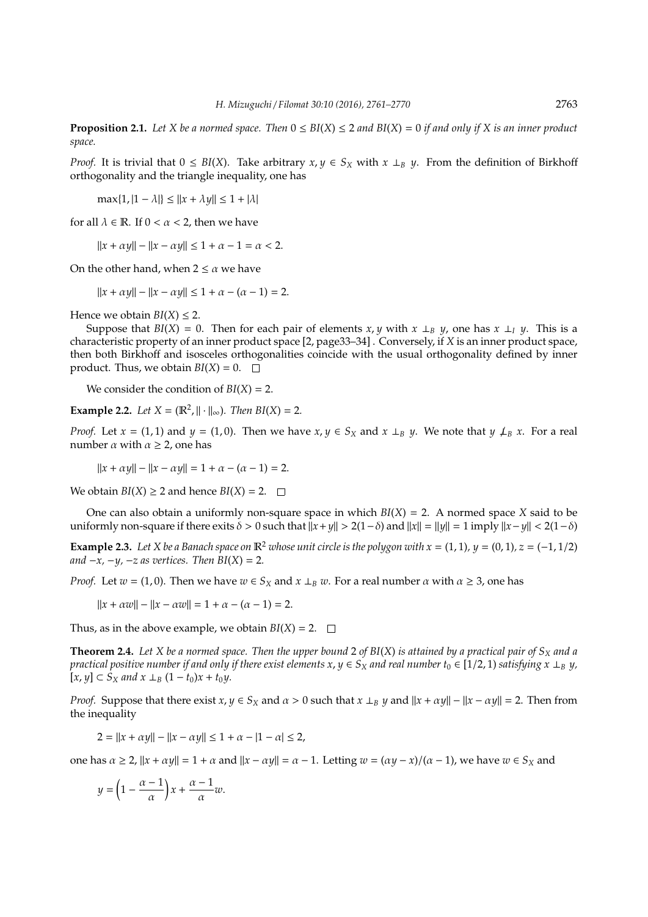**Proposition 2.1.** *Let X be a normed space. Then* 0 ≤ *BI*(*X*) ≤ 2 *and BI*(*X*) = 0 *if and only if X is an inner product space.*

*Proof.* It is trivial that  $0 \leq B I(X)$ . Take arbitrary  $x, y \in S_X$  with  $x \perp_B y$ . From the definition of Birkhoff orthogonality and the triangle inequality, one has

 $\max\{1, |1 - \lambda|\} \leq ||x + \lambda y|| \leq 1 + |\lambda|$ 

for all  $\lambda \in \mathbb{R}$ . If  $0 < \alpha < 2$ , then we have

 $||x + \alpha y|| - ||x - \alpha y|| \le 1 + \alpha - 1 = \alpha < 2.$ 

On the other hand, when  $2 \le \alpha$  we have

 $||x + \alpha y|| - ||x - \alpha y|| \le 1 + \alpha - (\alpha - 1) = 2.$ 

Hence we obtain  $BI(X) \leq 2$ .

Suppose that  $BI(X) = 0$ . Then for each pair of elements *x*, *y* with  $x \perp_B y$ , one has  $x \perp_I y$ . This is a characteristic property of an inner product space [2, page33–34] . Conversely, if *X* is an inner product space, then both Birkhoff and isosceles orthogonalities coincide with the usual orthogonality defined by inner product. Thus, we obtain  $BI(X) = 0$ .  $\Box$ 

We consider the condition of *BI*(*X*) = 2.

**Example 2.2.** *Let*  $X = (\mathbb{R}^2, ||\cdot||_{\infty})$ *. Then BI*(*X*) = 2*.* 

*Proof.* Let  $x = (1, 1)$  and  $y = (1, 0)$ . Then we have  $x, y \in S_X$  and  $x \perp_B y$ . We note that  $y \perp_B x$ . For a real number  $\alpha$  with  $\alpha \geq 2$ , one has

 $||x + \alpha y|| - ||x - \alpha y|| = 1 + \alpha - (\alpha - 1) = 2.$ 

We obtain *BI*(*X*)  $\geq$  2 and hence *BI*(*X*) = 2.  $\Box$ 

One can also obtain a uniformly non-square space in which  $BI(X) = 2$ . A normed space *X* said to be uniformly non-square if there exits  $\delta > 0$  such that  $||x + y|| > 2(1 - \delta)$  and  $||x|| = ||y|| = 1$  imply  $||x - y|| < 2(1 - \delta)$ 

**Example 2.3.** *Let X be a Banach space on*  $\mathbb{R}^2$  *whose unit circle is the polygon with*  $x = (1, 1)$ *, y* =  $(0, 1)$ *, z* =  $(-1, 1/2)$ *and*  $-x$ ,  $-y$ ,  $-z$  *as vertices. Then*  $BI(X) = 2$ *.* 

*Proof.* Let  $w = (1, 0)$ . Then we have  $w \in S_X$  and  $x \perp_B w$ . For a real number  $\alpha$  with  $\alpha \geq 3$ , one has

 $||x + \alpha w|| - ||x - \alpha w|| = 1 + \alpha - (\alpha - 1) = 2.$ 

Thus, as in the above example, we obtain  $BI(X) = 2$ .

**Theorem 2.4.** Let X be a normed space. Then the upper bound 2 of BI(X) is attained by a practical pair of  $S_X$  and a *practical positive number if and only if there exist elements*  $x, y \in S_X$  *and real number*  $t_0 \in [1/2, 1)$  *satisfying*  $x \perp_B y$ *,*  $[x, y]$  ⊂ *S*<sub>*X*</sub> *and*  $x$  ⊥<sub>*B*</sub> (1 − *t*<sub>0</sub>) $x$  + *t*<sub>0</sub> $y$ *.* 

*Proof.* Suppose that there exist  $x, y \in S_X$  and  $\alpha > 0$  such that  $x \perp_B y$  and  $||x + \alpha y|| - ||x - \alpha y|| = 2$ . Then from the inequality

 $2 = ||x + \alpha y|| - ||x - \alpha y|| \le 1 + \alpha - |1 - \alpha| \le 2$ ,

one has  $\alpha \ge 2$ ,  $||x + \alpha y|| = 1 + \alpha$  and  $||x - \alpha y|| = \alpha - 1$ . Letting  $w = (\alpha y - x)/(\alpha - 1)$ , we have  $w \in S_x$  and

$$
y = \left(1 - \frac{\alpha - 1}{\alpha}\right)x + \frac{\alpha - 1}{\alpha}w.
$$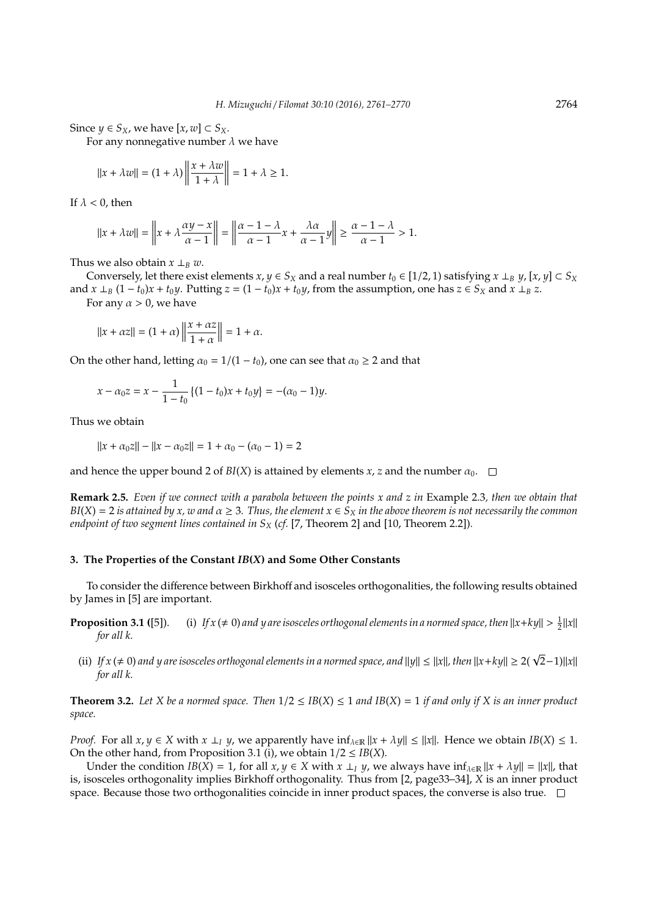Since  $y \in S_X$ , we have  $[x, w] \subset S_X$ .

For any nonnegative number  $\lambda$  we have

$$
||x + \lambda w|| = (1 + \lambda) \left\| \frac{x + \lambda w}{1 + \lambda} \right\| = 1 + \lambda \ge 1.
$$

If  $\lambda$  < 0, then

$$
||x + \lambda w|| = \left||x + \lambda \frac{\alpha y - x}{\alpha - 1}\right|| = \left||\frac{\alpha - 1 - \lambda}{\alpha - 1}x + \frac{\lambda \alpha}{\alpha - 1}y\right|| \ge \frac{\alpha - 1 - \lambda}{\alpha - 1} > 1.
$$

Thus we also obtain  $x \perp_B w$ .

Conversely, let there exist elements  $x, y \in S_X$  and a real number  $t_0 \in [1/2, 1)$  satisfying  $x \perp_B y$ ,  $[x, y] \subset S_X$ and  $x \perp_B (1-t_0)x + t_0y$ . Putting  $z = (1-t_0)x + t_0y$ , from the assumption, one has  $z \in S_X$  and  $x \perp_B z$ . For any  $\alpha > 0$ , we have

$$
||x + \alpha z|| = (1 + \alpha) \left\| \frac{x + \alpha z}{1 + \alpha} \right\| = 1 + \alpha.
$$

On the other hand, letting  $\alpha_0 = 1/(1 - t_0)$ , one can see that  $\alpha_0 \geq 2$  and that

$$
x - \alpha_0 z = x - \frac{1}{1 - t_0} \left\{ (1 - t_0)x + t_0 y \right\} = -(\alpha_0 - 1)y.
$$

Thus we obtain

$$
||x + \alpha_0 z|| - ||x - \alpha_0 z|| = 1 + \alpha_0 - (\alpha_0 - 1) = 2
$$

and hence the upper bound 2 of *BI*(*X*) is attained by elements *x*, *z* and the number  $\alpha_0$ .  $\square$ 

**Remark 2.5.** *Even if we connect with a parabola between the points x and z in* Example 2.3*, then we obtain that*  $BI(X) = 2$  *is attained by x, w and*  $\alpha \geq 3$ . Thus, the element  $x \in S_X$  *in the above theorem is not necessarily the common endpoint of two segment lines contained in S<sup>X</sup>* (*cf.* [7, Theorem 2] and [10, Theorem 2.2])*.*

## **3. The Properties of the Constant** *IB***(***X***) and Some Other Constants**

To consider the difference between Birkhoff and isosceles orthogonalities, the following results obtained by James in [5] are important.

- **Proposition 3.1** ([5]). (i) *If*  $x \neq 0$  *and y are isosceles orthogonal elements in a normed space, then*  $||x + ky|| > \frac{1}{2}||x||$ *for all k.*
	- (ii) *If*  $x$  (≠ 0) and  $y$  are isosceles orthogonal elements in a normed space, and  $||y|| ≤ ||x||$ , then  $||x+ky|| ≥ 2(\sqrt{2}-1)||x||$ *for all k.*

**Theorem 3.2.** Let X be a normed space. Then  $1/2 \le IB(X) \le 1$  and  $IB(X) = 1$  if and only if X is an inner product *space.*

*Proof.* For all  $x, y \in X$  with  $x \perp y$ , we apparently have  $\inf_{\lambda \in \mathbb{R}} ||x + \lambda y|| \le ||x||$ . Hence we obtain  $IB(X) \le 1$ . On the other hand, from Proposition 3.1 (i), we obtain  $1/2 \leq IB(X)$ .

Under the condition  $IB(X) = 1$ , for all  $x, y \in X$  with  $x \perp y$ , we always have  $\inf_{\lambda \in \mathbb{R}} ||x + \lambda y|| = ||x||$ , that is, isosceles orthogonality implies Birkhoff orthogonality. Thus from [2, page33–34], *X* is an inner product space. Because those two orthogonalities coincide in inner product spaces, the converse is also true.  $\Box$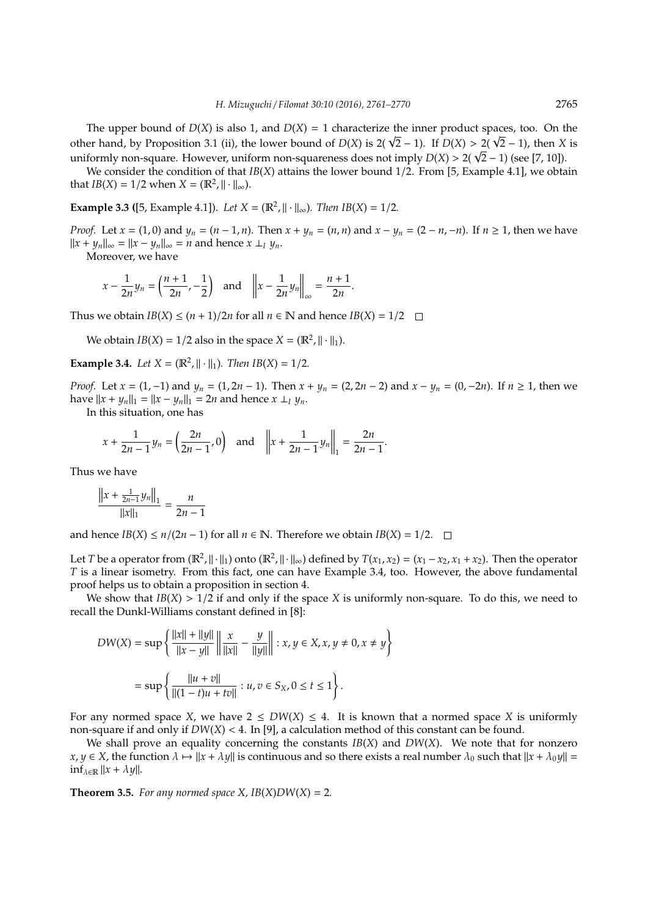The upper bound of  $D(X)$  is also 1, and  $D(X) = 1$  characterize the inner product spaces, too. On the The upper bound of *D*(*X*) is also 1, and *D*(*X*) = 1 characterize the inner product spaces, too. On the other hand, by Proposition 3.1 (ii), the lower bound of *D*(*X*) is  $2(\sqrt{2} - 1)$ . If *D*(*X*) > 2( $\sqrt{2} - 1$ ), the other hand, by Proposition 3.1 (ii), the lower bound of *D*(*X*) is 2( **V**2 − 1). If *D*(*X*) > 2( **V**2 − 1), then *X* uniformly non-square. However, uniform non-squareness does not imply *D*(*X*) > 2( **V**2 − 1) (see [7,

We consider the condition of that *IB*(*X*) attains the lower bound 1/2. From [5, Example 4.1], we obtain that  $IB(X) = 1/2$  when  $X = (\mathbb{R}^2, || \cdot ||_{\infty})$ .

**Example 3.3** ([5, Example 4.1]). *Let*  $X = (\mathbb{R}^2, ||\cdot||_{\infty})$ *. Then*  $IB(X) = 1/2$ *.* 

*Proof.* Let  $x = (1,0)$  and  $y_n = (n-1,n)$ . Then  $x + y_n = (n, n)$  and  $x - y_n = (2 - n, -n)$ . If  $n \ge 1$ , then we have  $||x + y_n||_{\infty} = ||x - y_n||_{\infty} = n$  and hence  $x \perp_{I} y_n$ .

Moreover, we have

$$
x - \frac{1}{2n}y_n = \left(\frac{n+1}{2n}, -\frac{1}{2}\right)
$$
 and  $\left\|x - \frac{1}{2n}y_n\right\|_{\infty} = \frac{n+1}{2n}.$ 

Thus we obtain  $IB(X) \leq (n+1)/2n$  for all  $n \in \mathbb{N}$  and hence  $IB(X) = 1/2$ 

We obtain  $IB(X) = 1/2$  also in the space  $X = (\mathbb{R}^2, ||\cdot||_1)$ .

**Example 3.4.** *Let*  $X = (\mathbb{R}^2, ||\cdot||_1)$ *. Then*  $IB(X) = 1/2$ *.* 

*Proof.* Let *x* = (1, −1) and *y<sub>n</sub>* = (1, 2*n* − 1). Then *x* + *y<sub>n</sub>* = (2, 2*n* − 2) and *x* − *y<sub>n</sub>* = (0, −2*n*). If *n* ≥ 1, then we have  $||x + y_n||_1 = ||x - y_n||_1 = 2n$  and hence  $x \perp_l y_n$ .

In this situation, one has

$$
x + \frac{1}{2n-1}y_n = \left(\frac{2n}{2n-1}, 0\right) \text{ and } \left\|x + \frac{1}{2n-1}y_n\right\|_1 = \frac{2n}{2n-1}.
$$

Thus we have

$$
\frac{\left\|x + \frac{1}{2n-1}y_n\right\|_1}{\|x\|_1} = \frac{n}{2n-1}
$$

and hence *IB*(*X*) ≤ *n*/(2*n* − 1) for all *n* ∈ **N**. Therefore we obtain *IB*(*X*) = 1/2. □

Let *T* be a operator from  $(\mathbb{R}^2, \|\cdot\|_1)$  onto  $(\mathbb{R}^2, \|\cdot\|_\infty)$  defined by  $T(x_1, x_2) = (x_1 - x_2, x_1 + x_2)$ . Then the operator *T* is a linear isometry. From this fact, one can have Example 3.4, too. However, the above fundamental proof helps us to obtain a proposition in section 4.

We show that  $IB(X) > 1/2$  if and only if the space *X* is uniformly non-square. To do this, we need to recall the Dunkl-Williams constant defined in [8]:

$$
DW(X) = \sup \left\{ \frac{||x|| + ||y||}{||x - y||} \middle\| \frac{x}{||x||} - \frac{y}{||y||} \middle\| : x, y \in X, x, y \neq 0, x \neq y \right\}
$$

$$
= \sup \left\{ \frac{||u + v||}{||(1 - t)u + tv||} : u, v \in S_X, 0 \leq t \leq 1 \right\}.
$$

For any normed space *X*, we have  $2 \leq DW(X) \leq 4$ . It is known that a normed space *X* is uniformly non-square if and only if  $DW(X) < 4$ . In [9], a calculation method of this constant can be found.

We shall prove an equality concerning the constants *IB*(*X*) and *DW*(*X*). We note that for nonzero  $x, y \in X$ , the function  $\lambda \mapsto ||x + \lambda y||$  is continuous and so there exists a real number  $\lambda_0$  such that  $||x + \lambda_0 y|| =$  $\inf_{\lambda \in \mathbb{R}} ||x + \lambda y||.$ 

**Theorem 3.5.** *For any normed space X,*  $IB(X)DW(X) = 2$ *.*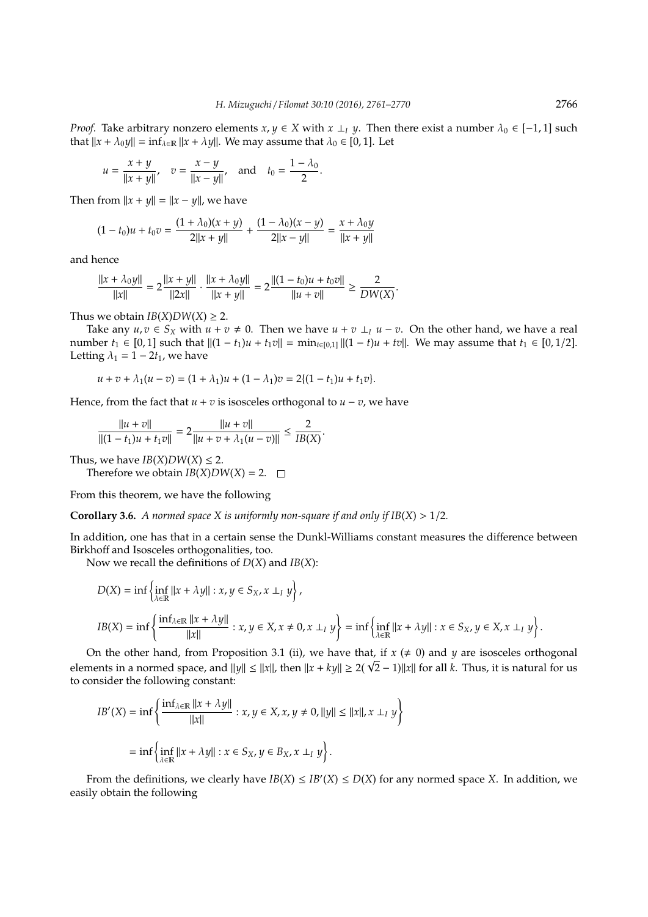*Proof.* Take arbitrary nonzero elements  $x, y \in X$  with  $x \perp y$ . Then there exist a number  $\lambda_0 \in [-1, 1]$  such that  $||x + \lambda_0 y|| = \inf_{\lambda \in \mathbb{R}} ||x + \lambda y||$ . We may assume that  $\lambda_0 \in [0, 1]$ . Let

$$
u = \frac{x + y}{\|x + y\|}, \quad v = \frac{x - y}{\|x - y\|}, \text{ and } t_0 = \frac{1 - \lambda_0}{2}.
$$

Then from  $||x + y|| = ||x - y||$ , we have

$$
(1-t_0)u + t_0v = \frac{(1+\lambda_0)(x+y)}{2||x+y||} + \frac{(1-\lambda_0)(x-y)}{2||x-y||} = \frac{x+\lambda_0y}{||x+y||}
$$

and hence

$$
\frac{||x+\lambda_0y||}{||x||} = 2\frac{||x+y||}{||2x||} \cdot \frac{||x+\lambda_0y||}{||x+y||} = 2\frac{||(1-t_0)u+t_0v||}{||u+v||} \ge \frac{2}{DW(X)}.
$$

Thus we obtain  $IB(X)DW(X) \geq 2$ .

Take any *u*, *v* ∈ *S*<sub>*X*</sub> with *u* + *v*  $\neq$  0. Then we have *u* + *v* ⊥*<sub>I</sub> u* − *v*. On the other hand, we have a real number *t*<sub>1</sub> ∈ [0, 1] such that  $||(1 - t_1)u + t_1v|| = \min_{t \in [0,1]}||(1 - t)u + tv||$ . We may assume that *t*<sub>1</sub> ∈ [0, 1/2]. Letting  $\lambda_1 = 1 - 2t_1$ , we have

$$
u + v + \lambda_1(u - v) = (1 + \lambda_1)u + (1 - \lambda_1)v = 2\{(1 - t_1)u + t_1v\}.
$$

Hence, from the fact that  $u + v$  is isosceles orthogonal to  $u - v$ , we have

$$
\frac{||u + v||}{||(1 - t_1)u + t_1v||} = 2\frac{||u + v||}{||u + v + \lambda_1(u - v)||} \le \frac{2}{IB(X)}.
$$

Thus, we have  $IB(X)DW(X) \leq 2$ .

Therefore we obtain  $IB(X)DW(X) = 2$ .  $\square$ 

From this theorem, we have the following

**Corollary 3.6.** *A normed space X is uniformly non-square if and only if*  $IB(X) > 1/2$ *.* 

In addition, one has that in a certain sense the Dunkl-Williams constant measures the difference between Birkhoff and Isosceles orthogonalities, too.

Now we recall the definitions of *D*(*X*) and *IB*(*X*):

$$
D(X) = \inf \left\{ \inf_{\lambda \in \mathbb{R}} ||x + \lambda y|| : x, y \in S_X, x \perp I, y \right\},
$$
  
\n
$$
IB(X) = \inf \left\{ \frac{\inf_{\lambda \in \mathbb{R}} ||x + \lambda y||}{||x||} : x, y \in X, x \neq 0, x \perp I, y \right\} = \inf \left\{ \inf_{\lambda \in \mathbb{R}} ||x + \lambda y|| : x \in S_X, y \in X, x \perp I, y \right\}.
$$

On the other hand, from Proposition 3.1 (ii), we have that, if  $x \neq 0$ ) and  $\gamma$  are isosceles orthogonal On the other hand, from Proposition 3.1 (ii), we have that, if *x* (≠ 0) and *y* are isosceles orthogonal elements in a normed space, and  $||y|| \le ||x||$ , then  $||x + ky|| \ge 2(\sqrt{2} - 1) ||x||$  for all *k*. Thus, it is natural for us to consider the following constant:

$$
IB'(X) = \inf \left\{ \frac{\inf_{\lambda \in \mathbb{R}} ||x + \lambda y||}{||x||} : x, y \in X, x, y \neq 0, ||y|| \le ||x||, x \perp I, y \right\}
$$
  
=  $\inf \left\{ \inf_{\lambda \in \mathbb{R}} ||x + \lambda y|| : x \in S_X, y \in B_X, x \perp I, y \right\}.$ 

From the definitions, we clearly have  $IB(X) \le IB'(X) \le D(X)$  for any normed space *X*. In addition, we easily obtain the following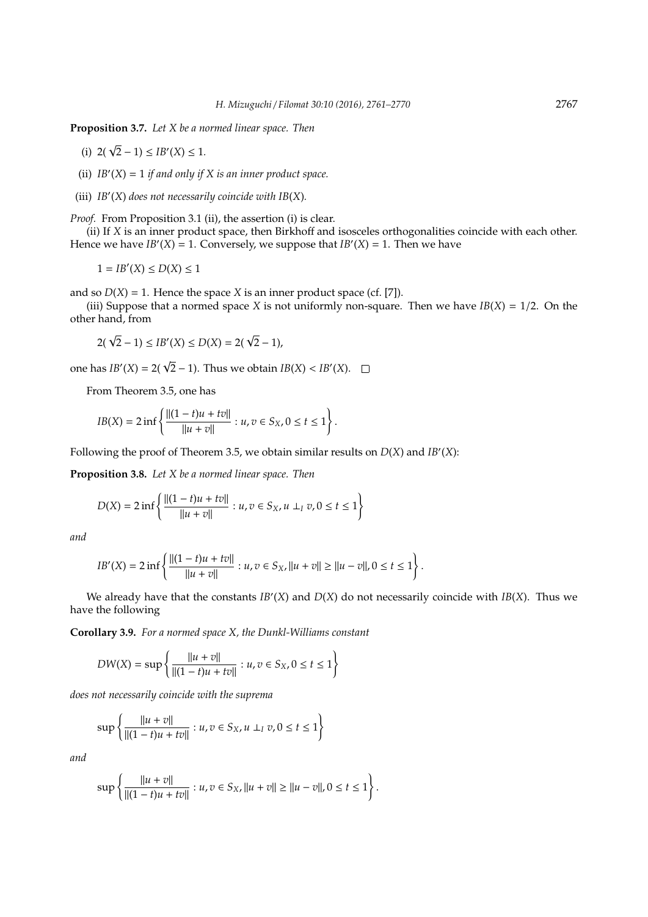**Proposition 3.7.** *Let X be a normed linear space. Then*

- (i)  $2(\sqrt{2}-1) \le IB'(X) \le 1$ .
- (ii)  $IB'(X) = 1$  *if and only if*  $X$  *is an inner product space.*
- (iii)  $IB'(X)$  does not necessarily coincide with  $IB(X)$ .

*Proof.* From Proposition 3.1 (ii), the assertion (i) is clear.

(ii) If *X* is an inner product space, then Birkhoff and isosceles orthogonalities coincide with each other. Hence we have  $IB'(X) = 1$ . Conversely, we suppose that  $IB'(X) = 1$ . Then we have

 $1 = IB'(X) \le D(X) \le 1$ 

and so  $D(X) = 1$ . Hence the space *X* is an inner product space (cf. [7]).

(iii) Suppose that a normed space *X* is not uniformly non-square. Then we have  $IB(X) = 1/2$ . On the other hand, from

$$
2(\sqrt{2}-1) \le IB'(X) \le D(X) = 2(\sqrt{2}-1),
$$

one has  $IB'(X) = 2(\sqrt{2} - 1)$ . Thus we obtain  $IB(X) < IB'(X)$ .

From Theorem 3.5, one has

$$
IB(X) = 2 \inf \left\{ \frac{\|(1-t)u + tv\|}{\|u + v\|} : u, v \in S_X, 0 \le t \le 1 \right\}.
$$

Following the proof of Theorem 3.5, we obtain similar results on  $D(X)$  and  $IB'(X)$ :

**Proposition 3.8.** *Let X be a normed linear space. Then*

$$
D(X) = 2 \inf \left\{ \frac{\|(1-t)u + tv\|}{\|u + v\|} : u, v \in S_X, u \perp_I v, 0 \le t \le 1 \right\}
$$

*and*

$$
IB'(X) = 2 \inf \left\{ \frac{\|(1-t)u + tv\|}{\|u + v\|} : u, v \in S_X, \|u + v\| \ge \|u - v\|, 0 \le t \le 1 \right\}.
$$

We already have that the constants  $IB'(X)$  and  $D(X)$  do not necessarily coincide with  $IB(X)$ . Thus we have the following

**Corollary 3.9.** *For a normed space X, the Dunkl-Williams constant*

$$
DW(X) = \sup \left\{ \frac{\|u + v\|}{\|(1 - t)u + tv\|} : u, v \in S_X, 0 \le t \le 1 \right\}
$$

*does not necessarily coincide with the suprema*

$$
\sup \left\{ \frac{\|u+v\|}{\|(1-t)u+tv\|} : u, v \in S_X, u \perp_l v, 0 \le t \le 1 \right\}
$$

*and*

$$
\sup \left\{ \frac{\|u+v\|}{\|(1-t)u+tv\|} : u,v \in S_X, \|u+v\| \ge \|u-v\|, 0 \le t \le 1 \right\}.
$$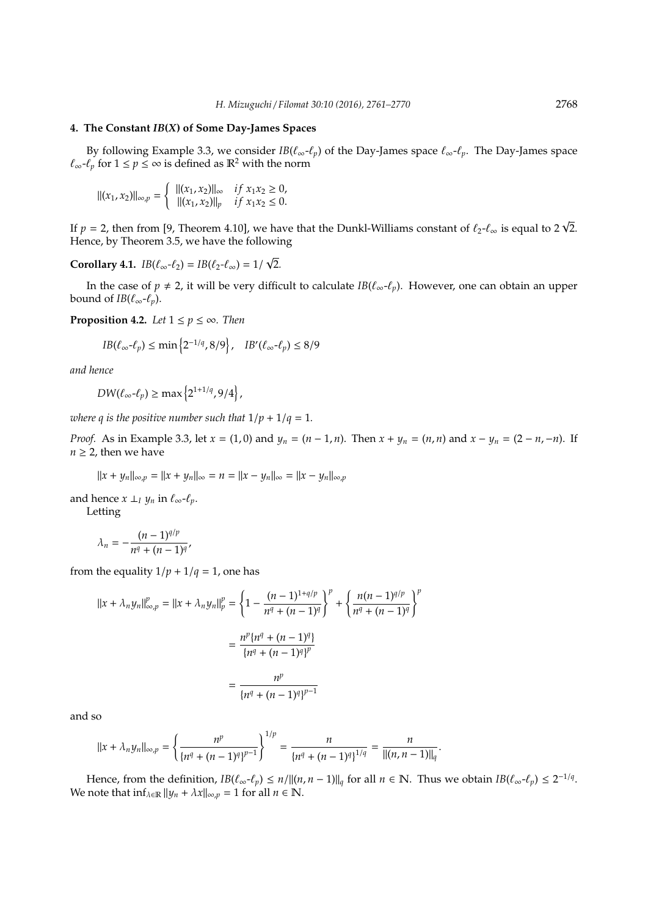## **4. The Constant** *IB***(***X***) of Some Day-James Spaces**

By following Example 3.3, we consider  $IB(\ell_{\infty}-\ell_p)$  of the Day-James space  $\ell_{\infty}-\ell_p$ . The Day-James space  $\ell_{\infty}$ - $\ell_p$  for 1 ≤ *p* ≤ ∞ is defined as  $\mathbb{R}^2$  with the norm

$$
\| (x_1, x_2) \|_{\infty, p} = \begin{cases} \| (x_1, x_2) \|_{\infty} & \text{if } x_1 x_2 \ge 0, \\ \| (x_1, x_2) \|_{p} & \text{if } x_1 x_2 \le 0. \end{cases}
$$

If  $p = 2$ , then from [9, Theorem 4.10], we have that the Dunkl-Williams constant of  $\ell_2\text{-}\ell_\infty$  is equal to 2  $\sqrt{2}$ . Hence, by Theorem 3.5, we have the following

**Corollary 4.1.**  $IB(\ell_{\infty} - \ell_2) = IB(\ell_2 - \ell_{\infty}) = 1/\sqrt{2}$ . √

In the case of  $p \neq 2$ , it will be very difficult to calculate *IB*( $\ell_{\infty}$ - $\ell_{p}$ ). However, one can obtain an upper bound of *IB*( $\ell_{\infty}$ - $\ell_{p}$ ).

**Proposition 4.2.** *Let*  $1 \leq p \leq \infty$ *. Then* 

$$
IB(\ell_{\infty}\text{-}\ell_{p}) \le \min\left\{2^{-1/q}, 8/9\right\}, \quad IB'(\ell_{\infty}\text{-}\ell_{p}) \le 8/9
$$

*and hence*

 $DW(\ell_{\infty}\text{-}\ell_p) \ge \max\left\{2^{1+1/q}, 9/4\right\},\$ 

*where q is the positive number such that*  $1/p + 1/q = 1$ *.* 

*Proof.* As in Example 3.3, let  $x = (1, 0)$  and  $y_n = (n - 1, n)$ . Then  $x + y_n = (n, n)$  and  $x - y_n = (2 - n, -n)$ . If  $n \geq 2$ , then we have

 $||x + y_n||_{\infty, p} = ||x + y_n||_{\infty} = n = ||x - y_n||_{\infty} = ||x - y_n||_{\infty, p}$ 

and hence  $x \perp_l y_n$  in  $\ell_\infty$ - $\ell_p$ .

Letting

$$
\lambda_n = -\frac{(n-1)^{q/p}}{n^q + (n-1)^q},
$$

from the equality  $1/p + 1/q = 1$ , one has

$$
||x + \lambda_n y_n||_{\infty, p}^p = ||x + \lambda_n y_n||_p^p = \left\{1 - \frac{(n-1)^{1+q/p}}{n^q + (n-1)^q}\right\}^p + \left\{\frac{n(n-1)^{q/p}}{n^q + (n-1)^q}\right\}^p
$$

$$
= \frac{n^p \{n^q + (n-1)^q\}}{\{n^q + (n-1)^q\}^p}
$$

$$
= \frac{n^p}{\{n^q + (n-1)^q\}^{p-1}}
$$

and so

$$
||x + \lambda_n y_n||_{\infty, p} = \left\{\frac{n^p}{\left\{n^q + (n-1)^q\right\}^{p-1}}\right\}^{1/p} = \frac{n}{\left\{n^q + (n-1)^q\right\}^{1/q}} = \frac{n}{\left\|(n, n-1)\right\|_q}.
$$

Hence, from the definition,  $IB(\ell_{\infty}\text{-}\ell_p) \le n/||(n, n-1)||_q$  for all  $n \in \mathbb{N}$ . Thus we obtain  $IB(\ell_{\infty}\text{-}\ell_p) \le 2^{-1/q}$ . We note that  $\inf_{\lambda \in \mathbb{R}} ||y_n + \lambda x||_{\infty, p} = 1$  for all  $n \in \mathbb{N}$ .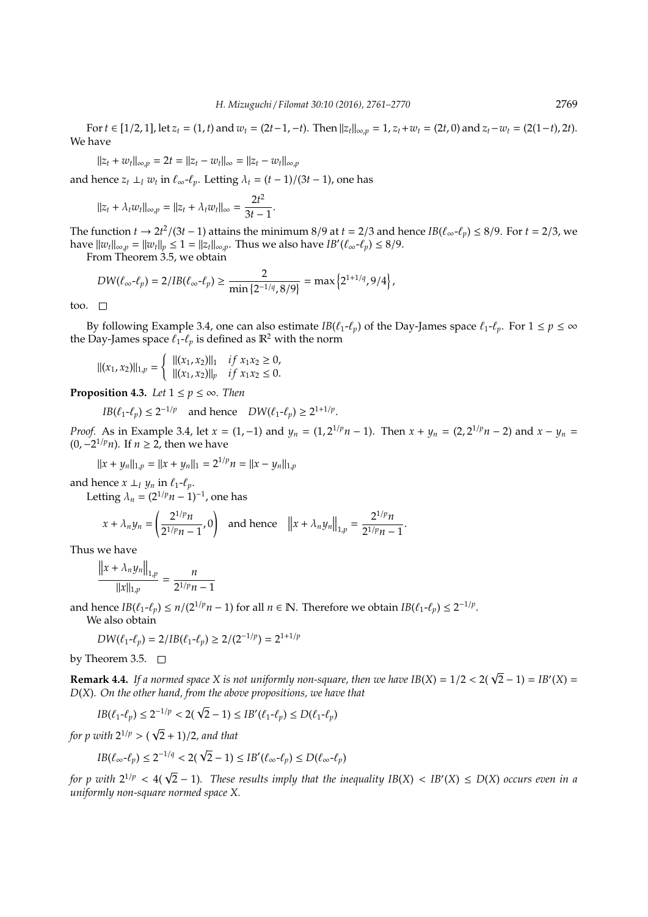For  $t \in [1/2, 1]$ , let  $z_t = (1, t)$  and  $w_t = (2t - 1, -t)$ . Then  $||z_t||_{\infty, p} = 1$ ,  $z_t + w_t = (2t, 0)$  and  $z_t - w_t = (2(1-t), 2t)$ . We have

$$
||z_t + w_t||_{\infty, p} = 2t = ||z_t - w_t||_{\infty} = ||z_t - w_t||_{\infty, p}
$$

and hence  $z_t \perp_l w_t$  in  $\ell_\infty \text{-} \ell_p$ . Letting  $\lambda_t = (t-1)/(3t-1)$ , one has

$$
||z_t + \lambda_t w_t||_{\infty, p} = ||z_t + \lambda_t w_t||_{\infty} = \frac{2t^2}{3t - 1}.
$$

The function *t* →  $2t^2/(3t-1)$  attains the minimum 8/9 at *t* = 2/3 and hence  $IB(\ell_\infty-\ell_p)$  ≤ 8/9. For *t* = 2/3, we  $\text{have } ||w_t||_{\infty,p} = ||w_t||_p \le 1 = ||z_t||_{\infty,p}.$  Thus we also have  $IB'(\ell_\infty-\ell_p) \le 8/9.$ 

From Theorem 3.5, we obtain

$$
DW(\ell_{\infty}\!-\!\ell_p)=2/IB(\ell_{\infty}\!-\!\ell_p)\geq \frac{2}{\min\{2^{-1/q},8/9\}}=\max\left\{2^{1+1/q},9/4\right\},\,
$$

too.  $\Box$ 

By following Example 3.4, one can also estimate *IB*( $\ell_1$ - $\ell_p$ ) of the Day-James space  $\ell_1$ - $\ell_p$ . For  $1 \le p \le \infty$ the Day-James space  $\ell_1\text{-}\ell_p$  is defined as  $\mathbb{R}^2$  with the norm

$$
\| (x_1, x_2) \|_{1,p} = \begin{cases} \| (x_1, x_2) \|_1 & \text{if } x_1 x_2 \ge 0, \\ \| (x_1, x_2) \|_p & \text{if } x_1 x_2 \le 0. \end{cases}
$$

**Proposition 4.3.** *Let*  $1 \leq p \leq \infty$ *. Then* 

 $IB(\ell_1 - \ell_p) \leq 2^{-1/p}$  and hence  $DW(\ell_1 - \ell_p) \geq 2^{1+1/p}$ .

*Proof.* As in Example 3.4, let  $x = (1, -1)$  and  $y_n = (1, 2^{1/p}n - 1)$ . Then  $x + y_n = (2, 2^{1/p}n - 2)$  and  $x - y_n =$ (0,−2 <sup>1</sup>/*pn*). If *n* ≥ 2, then we have

$$
||x + yn||1,p = ||x + yn||1 = 21/pn = ||x - yn||1,p
$$

and hence  $x \perp_l y_n$  in  $\ell_1$ - $\ell_p$ .

Letting  $\lambda_n = (2^{1/p}n - 1)^{-1}$ , one has

$$
x + \lambda_n y_n = \left(\frac{2^{1/p}n}{2^{1/p}n - 1}, 0\right) \text{ and hence } ||x + \lambda_n y_n||_{1,p} = \frac{2^{1/p}n}{2^{1/p}n - 1}.
$$

Thus we have

$$
\frac{\left\|x + \lambda_n y_n\right\|_{1,p}}{\|x\|_{1,p}} = \frac{n}{2^{1/p}n - 1}
$$

and hence  $IB(\ell_1-\ell_p) \leq n/(2^{1/p}n-1)$  for all  $n \in \mathbb{N}$ . Therefore we obtain  $IB(\ell_1-\ell_p) \leq 2^{-1/p}$ .

We also obtain

$$
DW(\ell_1 \text{-} \ell_p) = 2/IB(\ell_1 \text{-} \ell_p) \ge 2/(2^{-1/p}) = 2^{1+1/p}
$$

by Theorem 3.5.  $\Box$ 

**Remark 4.4.** If a normed space *X* is not uniformly non-square, then we have  $IB(X) = 1/2 < 2(\sqrt{2} - 1) = IB'(X) =$ *D*(*X*)*. On the other hand, from the above propositions, we have that*

$$
IB(\ell_1 - \ell_p) \le 2^{-1/p} < 2(\sqrt{2} - 1) \le IB'(\ell_1 - \ell_p) \le D(\ell_1 - \ell_p)
$$

*for p with* 2 <sup>1</sup>/*<sup>p</sup>* > ( 2 + 1)/2*, and that*

$$
IB(\ell_{\infty} - \ell_p) \le 2^{-1/q} < 2(\sqrt{2} - 1) \le IB'(\ell_{\infty} - \ell_p) \le D(\ell_{\infty} - \ell_p)
$$

 $f$  *for p with*  $2^{1/p} < 4(\sqrt{2} - 1)$ . These results imply that the inequality IB(X) < IB'(X)  $\leq D(X)$  occurs even in a *uniformly non-square normed space X.*